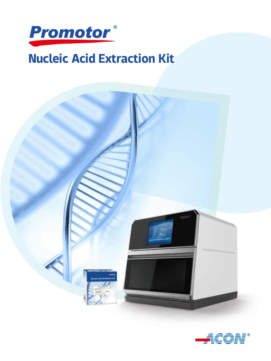

# Nucleic Acid Extraction Kit